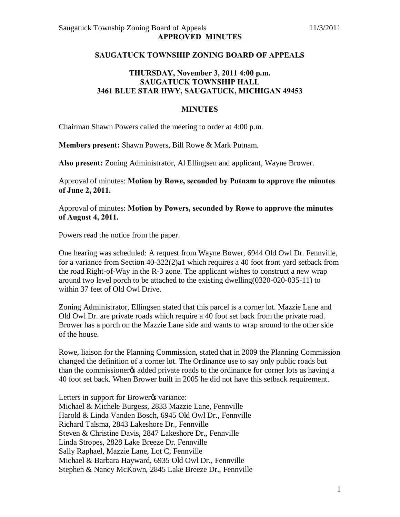## **SAUGATUCK TOWNSHIP ZONING BOARD OF APPEALS**

## **THURSDAY, November 3, 2011 4:00 p.m. SAUGATUCK TOWNSHIP HALL 3461 BLUE STAR HWY, SAUGATUCK, MICHIGAN 49453**

## **MINUTES**

Chairman Shawn Powers called the meeting to order at 4:00 p.m.

**Members present:** Shawn Powers, Bill Rowe & Mark Putnam.

**Also present:** Zoning Administrator, Al Ellingsen and applicant, Wayne Brower.

Approval of minutes: **Motion by Rowe, seconded by Putnam to approve the minutes of June 2, 2011.** 

Approval of minutes: **Motion by Powers, seconded by Rowe to approve the minutes of August 4, 2011.**

Powers read the notice from the paper.

One hearing was scheduled: A request from Wayne Bower, 6944 Old Owl Dr. Fennville, for a variance from Section 40-322(2)a1 which requires a 40 foot front yard setback from the road Right-of-Way in the R-3 zone. The applicant wishes to construct a new wrap around two level porch to be attached to the existing dwelling(0320-020-035-11) to within 37 feet of Old Owl Drive.

Zoning Administrator, Ellingsen stated that this parcel is a corner lot. Mazzie Lane and Old Owl Dr. are private roads which require a 40 foot set back from the private road. Brower has a porch on the Mazzie Lane side and wants to wrap around to the other side of the house.

Rowe, liaison for the Planning Commission, stated that in 2009 the Planning Commission changed the definition of a corner lot. The Ordinance use to say only public roads but than the commissioner added private roads to the ordinance for corner lots as having a 40 foot set back. When Brower built in 2005 he did not have this setback requirement.

Letters in support for Brower & variance: Michael & Michele Burgess, 2833 Mazzie Lane, Fennville Harold & Linda Vanden Bosch, 6945 Old Owl Dr., Fennville Richard Talsma, 2843 Lakeshore Dr., Fennville Steven & Christine Davis, 2847 Lakeshore Dr., Fennville Linda Stropes, 2828 Lake Breeze Dr. Fennville Sally Raphael, Mazzie Lane, Lot C, Fennville Michael & Barbara Hayward, 6935 Old Owl Dr., Fennville Stephen & Nancy McKown, 2845 Lake Breeze Dr., Fennville